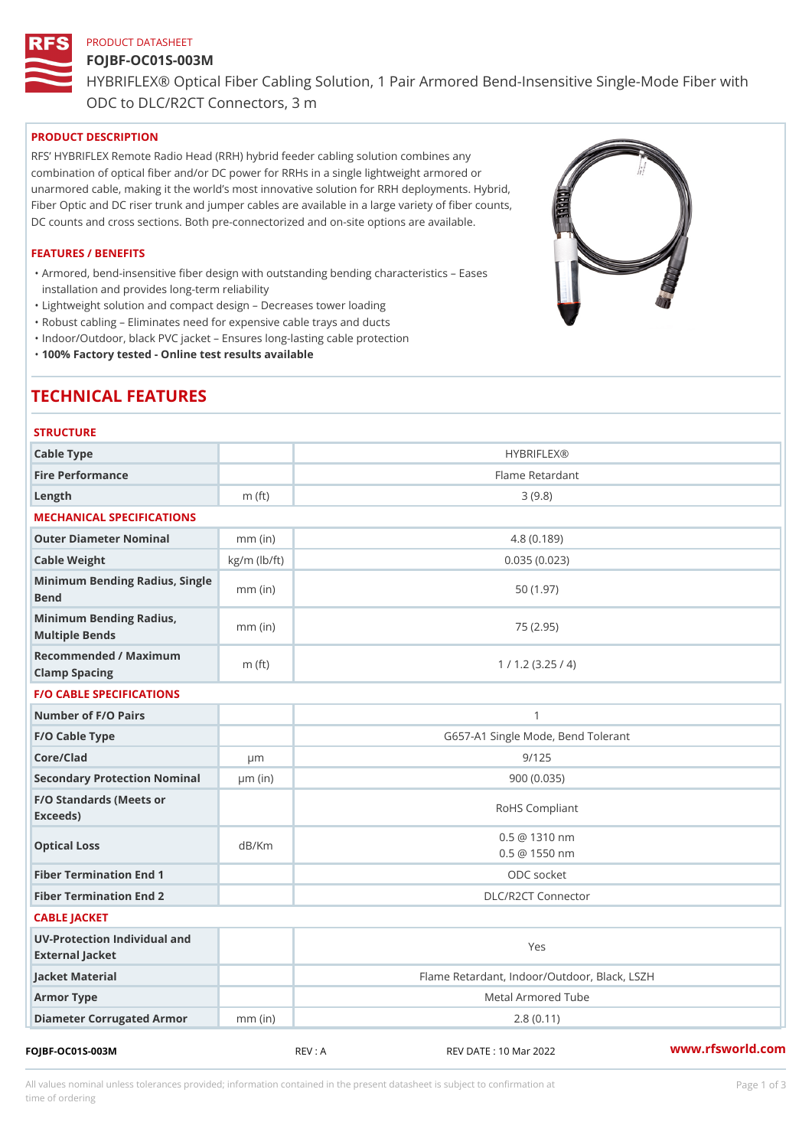# PRODUCT DATASHEET FOJBF-OC01S-003M

HYBRIFLEX® Optical Fiber Cabling Solution, 1 Pair Armored Bend-Inse

ODC to DLC/R2CT Connectors, 3 m

## PRODUCT DESCRIPTION

RFS HYBRIFLEX Remote Radio Head (RRH) hybrid feeder cabling solution combines any combination of optical fiber and/or DC power for RRHs in a single lightweight armored or unarmored cable, making it the world s most innovative solution for RRH deployments. Hybrid, Fiber Optic and DC riser trunk and jumper cables are available in a large variety of fiber counts, DC counts and cross sections. Both pre-connectorized and on-site options are available.

#### FEATURES / BENEFITS

Armored, bend-insensitive fiber design with outstanding bending characteristics Eases " installation and provides long-term reliability

"Lightweight solution and compact design Decreases tower loading

"Robust cabling Eliminates need for expensive cable trays and ducts

"Indoor/Outdoor, black PVC jacket Ensures long-lasting cable protection

"100% Factory tested - Online test results available

# TECHNICAL FEATURES

| <b>STRUCTURE</b>                                  |                    |                                                |
|---------------------------------------------------|--------------------|------------------------------------------------|
| Cable Type                                        |                    | <b>HYBRIFLEX®</b>                              |
| Fire Performance                                  |                    | Flame Retardant                                |
| $L$ ength                                         | $m$ (ft)           | 3(9.8)                                         |
| MECHANICAL SPECIFICATIONS                         |                    |                                                |
| Outer Diameter Nominal                            | $mm$ (in)          | 4.8(0.189)                                     |
| Cable Weight                                      | $kg/m$ ( $lb/ft$ ) | 0.035(0.023)                                   |
| Minimum Bending Radius, Single<br>mm (in)<br>Bend |                    | 50 (1.97)                                      |
| Minimum Bending Radius, mm (in)<br>Multiple Bends |                    | 75 (2.95)                                      |
| Recommended / Maximum<br>Clamp Spacing            | $m$ (ft)           | 1 / 1.2 (3.25 / 4)                             |
| <b>F/O CABLE SPECIFICATIONS</b>                   |                    |                                                |
| Number of F/O Pairs                               |                    | $\mathbf{1}$                                   |
| F/O Cable Type                                    |                    | G657-A1 Single Mode, Bend Tolerant             |
| Core/Clad                                         | $\mu$ m            | 9/125                                          |
| Secondary Protection Nomimal(in)                  |                    | 900 (0.035)                                    |
| F/O Standards (Meets or<br>Exceeds)               |                    | RoHS Compliant                                 |
| Optical Loss                                      | dB/Km              | $0.5 \ @ \ 1310 \ nm$<br>$0.5 \ @ \ 1550 \ nm$ |
| Fiber Termination End                             |                    | ODC socket                                     |
| Fiber Termination End 2                           |                    | DLC/R2CT Connector                             |
| CABLE JACKET                                      |                    |                                                |
| UV-Protection Individual and<br>External Jacket   |                    | Yes                                            |
| Jacket Material                                   |                    | Flame Retardant, Indoor/Outdoor, Black, LSZH   |
| Armor Type                                        |                    | Metal Armored Tube                             |
| Diameter Corrugated Armomm (in)                   |                    | 2.8(0.11)                                      |
|                                                   |                    |                                                |

FOJBF-OC01S-003M REV : A REV DATE : 10 Mar 2022 [www.](https://www.rfsworld.com)rfsworld.com

All values nominal unless tolerances provided; information contained in the present datasheet is subject to Pcapgeign mation

time of ordering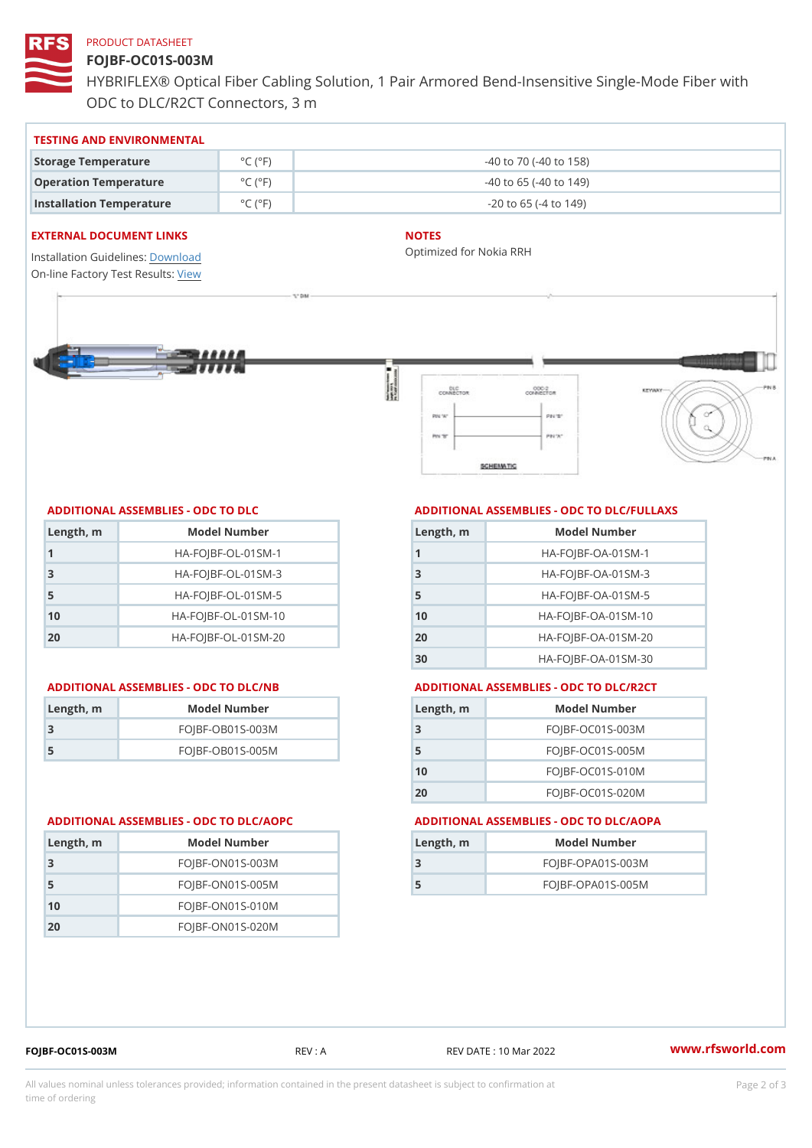#### PRODUCT DATASHEET

## FOJBF-OC01S-003M

HYBRIFLEX® Optical Fiber Cabling Solution, 1 Pair Armored Bend-Inse ODC to DLC/R2CT Connectors, 3 m

#### TESTING AND ENVIRONMENTAL

| Storage Temperature              | $^{\circ}$ C ( $^{\circ}$ F $\vert$ | $-40$ to $70$ ( $-40$ to $158$ ) |
|----------------------------------|-------------------------------------|----------------------------------|
| Operation Temperature            | $^{\circ}$ C ( $^{\circ}$ F)        | $-40$ to 65 ( $-40$ to 149)      |
| Installation Temperature °C (°F) |                                     | $-20$ to 65 ( $-4$ to 149)       |

#### EXTERNAL DOCUMENT LINKS

Installation Guidelwinessad On-line Factory Te[s](https://www.rfsworld.com/pictures/userfiles/programs/AAST Latest Version.zip)teResults:

#### NOTES

Optimized for Nokia RRH

#### ADDITIONAL ASSEMBLIES - ODC TO DLC

| Length, m | Model Number                   |
|-----------|--------------------------------|
| 1         | $HA - FOJBF - OL - 01SM - 1$   |
| -3        | $HA - FOJBF - OL - 01SM - 3$   |
| 5         | $HA - FOJBF - OL - 01SM - 5$   |
| 10        | $HA - FOJBF - O L - 01SM - 10$ |
| 20        | $HA - FOJBF - O L - 01SM - 20$ |

#### ADDITIONAL ASSEMBLIES - ODC TO DLC/NB ADDITIONAL ASSEMBLIES - ODC TO DLC/R2CT

| Length, rn | Model Number       |
|------------|--------------------|
| -3         | $FOJBF-OBO1S-OO3M$ |
| -5         | $FOJBF-OBO1S-OO5M$ |

#### ADDITIONAL ASSEMBLIES - ODC TO DLC/FULLAXS

| Length, m | Model Number                  |
|-----------|-------------------------------|
|           | $HA - FOJBF - OA - 01SM - 1$  |
| -3        | $HA - FOJBF - OA - 01SM - B$  |
| 5         | $HA - FOJBF - OA - 01SM - 5$  |
| 10        | $HA - FOJBF - OA - 01SM - 10$ |
| 20        | $HA - FOJBF - OA - 01SM - 20$ |
| 30        | HA-FOJBF-OA-01SM-30           |

| Length, m | Model Number       |
|-----------|--------------------|
| -3        | $FOJBF-OCO1S-OO3M$ |
| 5         | $FOJBF-OCO1S-OO5M$ |
| 10        | $FOJBF-OCO1S-010M$ |
| 20        | $FOJBF-OCO1S-020M$ |

#### ADDITIONAL ASSEMBLIES - ODC TO DLC/AOPC ADDITIONAL ASSEMBLIES - ODC TO DLC/AOPA

| Length, m | Model Number        |
|-----------|---------------------|
|           | FOJBF-OPA01S-003M   |
| 5         | $FOJBF-OPAO1S-005M$ |

| Length, m | Model Number       |
|-----------|--------------------|
| 3         | $FOJBF-ONO1S-003M$ |
| 5         | $FOJBF-ONO1S-005M$ |
| 10        | $FOJBF-ONO1S-010M$ |
| 2 O       | $FOJBF-ONO1S-020M$ |

FOJBF-OC01S-003M REV : A REV DATE : 10 Mar 2022 [www.](https://www.rfsworld.com)rfsworld.com

All values nominal unless tolerances provided; information contained in the present datasheet is subject to Pcapgelio an atio time of ordering